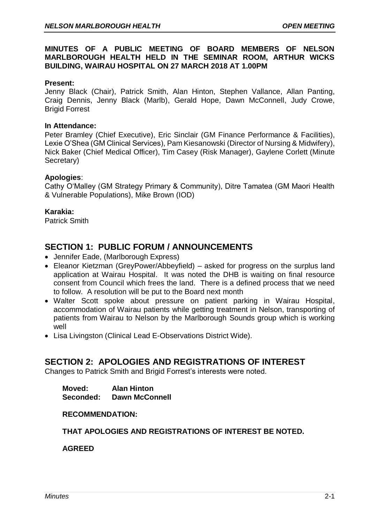### **MINUTES OF A PUBLIC MEETING OF BOARD MEMBERS OF NELSON MARLBOROUGH HEALTH HELD IN THE SEMINAR ROOM, ARTHUR WICKS BUILDING, WAIRAU HOSPITAL ON 27 MARCH 2018 AT 1.00PM**

#### **Present:**

Jenny Black (Chair), Patrick Smith, Alan Hinton, Stephen Vallance, Allan Panting, Craig Dennis, Jenny Black (Marlb), Gerald Hope, Dawn McConnell, Judy Crowe, Brigid Forrest

#### **In Attendance:**

Peter Bramley (Chief Executive), Eric Sinclair (GM Finance Performance & Facilities), Lexie O'Shea (GM Clinical Services), Pam Kiesanowski (Director of Nursing & Midwifery), Nick Baker (Chief Medical Officer), Tim Casey (Risk Manager), Gaylene Corlett (Minute Secretary)

#### **Apologies**:

Cathy O'Malley (GM Strategy Primary & Community), Ditre Tamatea (GM Maori Health & Vulnerable Populations), Mike Brown (IOD)

#### **Karakia:**

Patrick Smith

## **SECTION 1: PUBLIC FORUM / ANNOUNCEMENTS**

- Jennifer Eade, (Marlborough Express)
- Eleanor Kietzman (GreyPower/Abbeyfield) asked for progress on the surplus land application at Wairau Hospital. It was noted the DHB is waiting on final resource consent from Council which frees the land. There is a defined process that we need to follow. A resolution will be put to the Board next month
- Walter Scott spoke about pressure on patient parking in Wairau Hospital, accommodation of Wairau patients while getting treatment in Nelson, transporting of patients from Wairau to Nelson by the Marlborough Sounds group which is working well
- Lisa Livingston (Clinical Lead E-Observations District Wide).

# **SECTION 2: APOLOGIES AND REGISTRATIONS OF INTEREST**

Changes to Patrick Smith and Brigid Forrest's interests were noted.

**Moved: Alan Hinton Seconded: Dawn McConnell**

#### **RECOMMENDATION:**

### **THAT APOLOGIES AND REGISTRATIONS OF INTEREST BE NOTED.**

**AGREED**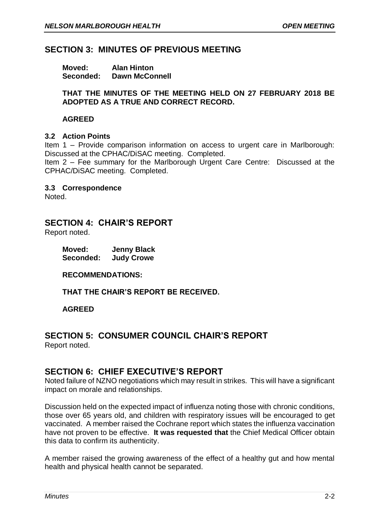# **SECTION 3: MINUTES OF PREVIOUS MEETING**

| Moved:    | <b>Alan Hinton</b>    |
|-----------|-----------------------|
| Seconded: | <b>Dawn McConnell</b> |

### **THAT THE MINUTES OF THE MEETING HELD ON 27 FEBRUARY 2018 BE ADOPTED AS A TRUE AND CORRECT RECORD.**

### **AGREED**

### **3.2 Action Points**

Item 1 – Provide comparison information on access to urgent care in Marlborough: Discussed at the CPHAC/DiSAC meeting. Completed.

Item 2 – Fee summary for the Marlborough Urgent Care Centre: Discussed at the CPHAC/DiSAC meeting. Completed.

**3.3 Correspondence**

Noted.

# **SECTION 4: CHAIR'S REPORT**

Report noted.

| Moved:    | <b>Jenny Black</b> |
|-----------|--------------------|
| Seconded: | <b>Judy Crowe</b>  |

**RECOMMENDATIONS:**

**THAT THE CHAIR'S REPORT BE RECEIVED.**

### **AGREED**

# **SECTION 5: CONSUMER COUNCIL CHAIR'S REPORT**

Report noted.

# **SECTION 6: CHIEF EXECUTIVE'S REPORT**

Noted failure of NZNO negotiations which may result in strikes. This will have a significant impact on morale and relationships.

Discussion held on the expected impact of influenza noting those with chronic conditions, those over 65 years old, and children with respiratory issues will be encouraged to get vaccinated. A member raised the Cochrane report which states the influenza vaccination have not proven to be effective. **It was requested that** the Chief Medical Officer obtain this data to confirm its authenticity.

A member raised the growing awareness of the effect of a healthy gut and how mental health and physical health cannot be separated.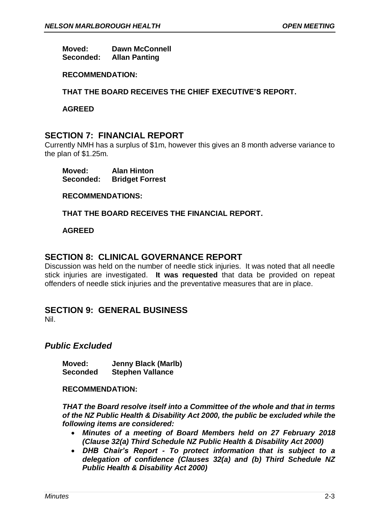**Moved: Dawn McConnell Seconded: Allan Panting**

### **RECOMMENDATION:**

### **THAT THE BOARD RECEIVES THE CHIEF EXECUTIVE'S REPORT.**

**AGREED**

## **SECTION 7: FINANCIAL REPORT**

Currently NMH has a surplus of \$1m, however this gives an 8 month adverse variance to the plan of \$1.25m.

**Moved: Alan Hinton Seconded: Bridget Forrest**

**RECOMMENDATIONS:**

**THAT THE BOARD RECEIVES THE FINANCIAL REPORT.**

### **AGREED**

# **SECTION 8: CLINICAL GOVERNANCE REPORT**

Discussion was held on the number of needle stick injuries. It was noted that all needle stick injuries are investigated. **It was requested** that data be provided on repeat offenders of needle stick injuries and the preventative measures that are in place.

## **SECTION 9: GENERAL BUSINESS**

Nil.

## *Public Excluded*

**Moved: Jenny Black (Marlb) Seconded Stephen Vallance**

**RECOMMENDATION:** 

*THAT the Board resolve itself into a Committee of the whole and that in terms of the NZ Public Health & Disability Act 2000, the public be excluded while the following items are considered:*

- *Minutes of a meeting of Board Members held on 27 February 2018 (Clause 32(a) Third Schedule NZ Public Health & Disability Act 2000)*
- *DHB Chair's Report - To protect information that is subject to a delegation of confidence (Clauses 32(a) and (b) Third Schedule NZ Public Health & Disability Act 2000)*